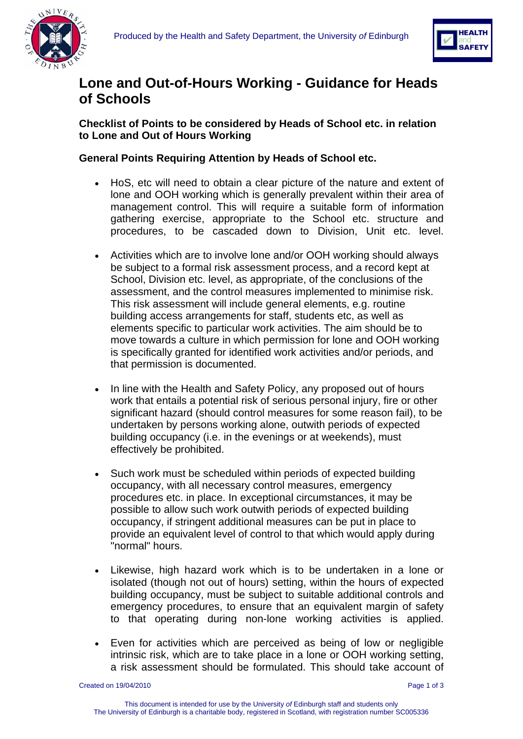



## **Lone and Out-of-Hours Working - Guidance for Heads of Schools**

**Checklist of Points to be considered by Heads of School etc. in relation to Lone and Out of Hours Working** 

**General Points Requiring Attention by Heads of School etc.** 

- HoS, etc will need to obtain a clear picture of the nature and extent of lone and OOH working which is generally prevalent within their area of management control. This will require a suitable form of information gathering exercise, appropriate to the School etc. structure and procedures, to be cascaded down to Division, Unit etc. level.
- Activities which are to involve lone and/or OOH working should always be subject to a formal risk assessment process, and a record kept at School, Division etc. level, as appropriate, of the conclusions of the assessment, and the control measures implemented to minimise risk. This risk assessment will include general elements, e.g. routine building access arrangements for staff, students etc, as well as elements specific to particular work activities. The aim should be to move towards a culture in which permission for lone and OOH working is specifically granted for identified work activities and/or periods, and that permission is documented.
- In line with the Health and Safety Policy, any proposed out of hours work that entails a potential risk of serious personal injury, fire or other significant hazard (should control measures for some reason fail), to be undertaken by persons working alone, outwith periods of expected building occupancy (i.e. in the evenings or at weekends), must effectively be prohibited.
- Such work must be scheduled within periods of expected building occupancy, with all necessary control measures, emergency procedures etc. in place. In exceptional circumstances, it may be possible to allow such work outwith periods of expected building occupancy, if stringent additional measures can be put in place to provide an equivalent level of control to that which would apply during "normal" hours.
- Likewise, high hazard work which is to be undertaken in a lone or isolated (though not out of hours) setting, within the hours of expected building occupancy, must be subject to suitable additional controls and emergency procedures, to ensure that an equivalent margin of safety to that operating during non-lone working activities is applied.
- Even for activities which are perceived as being of low or negligible intrinsic risk, which are to take place in a lone or OOH working setting, a risk assessment should be formulated. This should take account of

Created on 19/04/2010 Page 1 of 3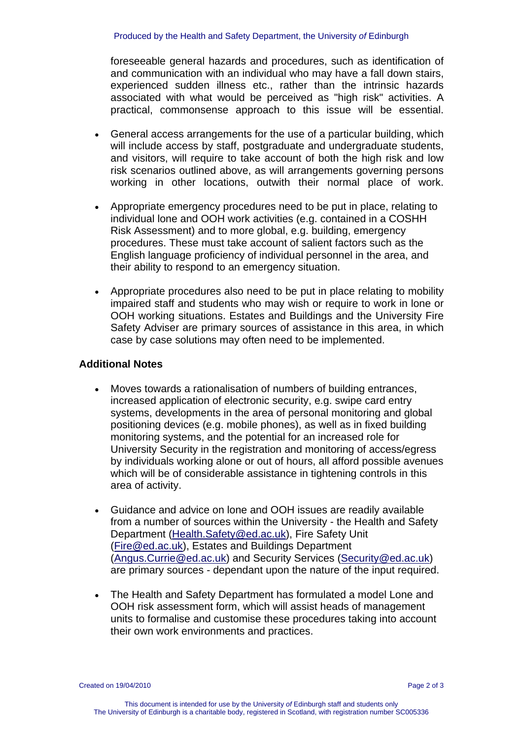foreseeable general hazards and procedures, such as identification of and communication with an individual who may have a fall down stairs, experienced sudden illness etc., rather than the intrinsic hazards associated with what would be perceived as "high risk" activities. A practical, commonsense approach to this issue will be essential.

- General access arrangements for the use of a particular building, which will include access by staff, postgraduate and undergraduate students, and visitors, will require to take account of both the high risk and low risk scenarios outlined above, as will arrangements governing persons working in other locations, outwith their normal place of work.
- Appropriate emergency procedures need to be put in place, relating to individual lone and OOH work activities (e.g. contained in a COSHH Risk Assessment) and to more global, e.g. building, emergency procedures. These must take account of salient factors such as the English language proficiency of individual personnel in the area, and their ability to respond to an emergency situation.
- Appropriate procedures also need to be put in place relating to mobility impaired staff and students who may wish or require to work in lone or OOH working situations. Estates and Buildings and the University Fire Safety Adviser are primary sources of assistance in this area, in which case by case solutions may often need to be implemented.

## **Additional Notes**

- Moves towards a rationalisation of numbers of building entrances, increased application of electronic security, e.g. swipe card entry systems, developments in the area of personal monitoring and global positioning devices (e.g. mobile phones), as well as in fixed building monitoring systems, and the potential for an increased role for University Security in the registration and monitoring of access/egress by individuals working alone or out of hours, all afford possible avenues which will be of considerable assistance in tightening controls in this area of activity.
- Guidance and advice on lone and OOH issues are readily available from a number of sources within the University - the Health and Safety Department [\(Health.Safety@ed.ac.uk\)](mailto:Health.Safety@ed.ac.uk), Fire Safety Unit ([Fire@ed.ac.uk](mailto:Fire@ed.ac.uk)), Estates and Buildings Department ([Angus.Currie@ed.ac.uk\)](mailto:Angus.Currie@ed.ac.uk) and Security Services [\(Security@ed.ac.uk](mailto:Security@ed.ac.uk)) are primary sources - dependant upon the nature of the input required.
- The Health and Safety Department has formulated a model Lone and OOH risk assessment form, which will assist heads of management units to formalise and customise these procedures taking into account their own work environments and practices.

Created on 19/04/2010 Page 2 of 3